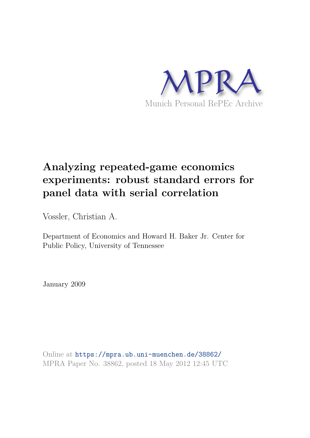

# **Analyzing repeated-game economics experiments: robust standard errors for panel data with serial correlation**

Vossler, Christian A.

Department of Economics and Howard H. Baker Jr. Center for Public Policy, University of Tennessee

January 2009

Online at https://mpra.ub.uni-muenchen.de/38862/ MPRA Paper No. 38862, posted 18 May 2012 12:45 UTC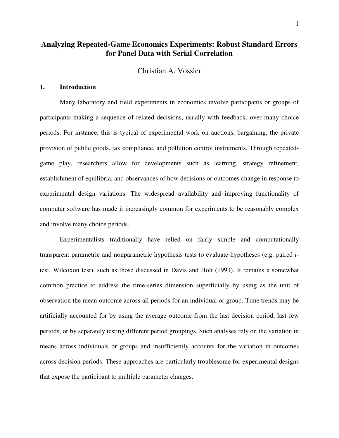# **Analyzing Repeated-Game Economics Experiments: Robust Standard Errors for Panel Data with Serial Correlation**

Christian A. Vossler

# **1. Introduction**

Many laboratory and field experiments in economics involve participants or groups of participants making a sequence of related decisions, usually with feedback, over many choice periods. For instance, this is typical of experimental work on auctions, bargaining, the private provision of public goods, tax compliance, and pollution control instruments. Through repeatedgame play, researchers allow for developments such as learning, strategy refinement, establishment of equilibria, and observances of how decisions or outcomes change in response to experimental design variations. The widespread availability and improving functionality of computer software has made it increasingly common for experiments to be reasonably complex and involve many choice periods.

Experimentalists traditionally have relied on fairly simple and computationally transparent parametric and nonparametric hypothesis tests to evaluate hypotheses (e.g. paired *t*test, Wilcoxon test), such as those discussed in Davis and Holt (1993). It remains a somewhat common practice to address the time-series dimension superficially by using as the unit of observation the mean outcome across all periods for an individual or group. Time trends may be artificially accounted for by using the average outcome from the last decision period, last few periods, or by separately testing different period groupings. Such analyses rely on the variation in means across individuals or groups and insufficiently accounts for the variation in outcomes across decision periods. These approaches are particularly troublesome for experimental designs that expose the participant to multiple parameter changes.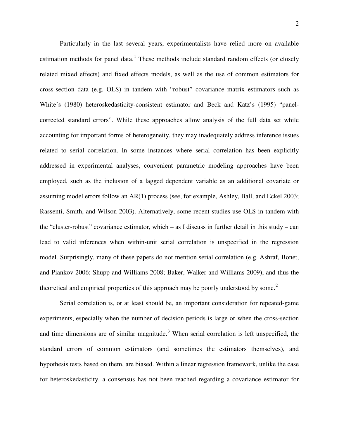Particularly in the last several years, experimentalists have relied more on available estimation methods for panel data.<sup>[1](#page-27-0)</sup> These methods include standard random effects (or closely related mixed effects) and fixed effects models, as well as the use of common estimators for cross-section data (e.g. OLS) in tandem with "robust" covariance matrix estimators such as White's (1980) heteroskedasticity-consistent estimator and Beck and Katz's (1995) "panelcorrected standard errors". While these approaches allow analysis of the full data set while accounting for important forms of heterogeneity, they may inadequately address inference issues related to serial correlation. In some instances where serial correlation has been explicitly addressed in experimental analyses, convenient parametric modeling approaches have been employed, such as the inclusion of a lagged dependent variable as an additional covariate or assuming model errors follow an AR(1) process (see, for example, Ashley, Ball, and Eckel 2003; Rassenti, Smith, and Wilson 2003). Alternatively, some recent studies use OLS in tandem with the "cluster-robust" covariance estimator, which – as I discuss in further detail in this study – can lead to valid inferences when within-unit serial correlation is unspecified in the regression model. Surprisingly, many of these papers do not mention serial correlation (e.g. Ashraf, Bonet, and Piankov 2006; Shupp and Williams 2008; Baker, Walker and Williams 2009), and thus the theoretical and empirical properties of this approach may be poorly understood by some.<sup>[2](#page-27-1)</sup>

Serial correlation is, or at least should be, an important consideration for repeated-game experiments, especially when the number of decision periods is large or when the cross-section and time dimensions are of similar magnitude.<sup>[3](#page-27-2)</sup> When serial correlation is left unspecified, the standard errors of common estimators (and sometimes the estimators themselves), and hypothesis tests based on them, are biased. Within a linear regression framework, unlike the case for heteroskedasticity, a consensus has not been reached regarding a covariance estimator for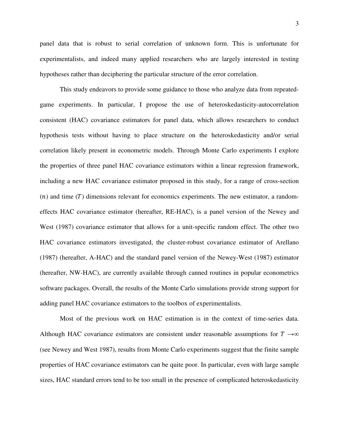panel data that is robust to serial correlation of unknown form. This is unfortunate for experimentalists, and indeed many applied researchers who are largely interested in testing hypotheses rather than deciphering the particular structure of the error correlation.

This study endeavors to provide some guidance to those who analyze data from repeatedgame experiments. In particular, I propose the use of heteroskedasticity-autocorrelation consistent (HAC) covariance estimators for panel data, which allows researchers to conduct hypothesis tests without having to place structure on the heteroskedasticity and/or serial correlation likely present in econometric models. Through Monte Carlo experiments I explore the properties of three panel HAC covariance estimators within a linear regression framework, including a new HAC covariance estimator proposed in this study, for a range of cross-section  $(n)$  and time  $(T)$  dimensions relevant for economics experiments. The new estimator, a randomeffects HAC covariance estimator (hereafter, RE-HAC), is a panel version of the Newey and West (1987) covariance estimator that allows for a unit-specific random effect. The other two HAC covariance estimators investigated, the cluster-robust covariance estimator of Arellano (1987) (hereafter, A-HAC) and the standard panel version of the Newey-West (1987) estimator (hereafter, NW-HAC), are currently available through canned routines in popular econometrics software packages. Overall, the results of the Monte Carlo simulations provide strong support for adding panel HAC covariance estimators to the toolbox of experimentalists.

Most of the previous work on HAC estimation is in the context of time-series data. Although HAC covariance estimators are consistent under reasonable assumptions for  $T \rightarrow \infty$ (see Newey and West 1987), results from Monte Carlo experiments suggest that the finite sample properties of HAC covariance estimators can be quite poor. In particular, even with large sample sizes, HAC standard errors tend to be too small in the presence of complicated heteroskedasticity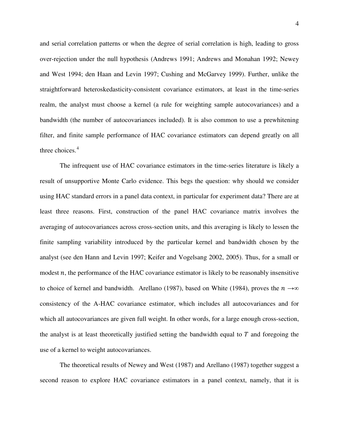and serial correlation patterns or when the degree of serial correlation is high, leading to gross over-rejection under the null hypothesis (Andrews 1991; Andrews and Monahan 1992; Newey and West 1994; den Haan and Levin 1997; Cushing and McGarvey 1999). Further, unlike the straightforward heteroskedasticity-consistent covariance estimators, at least in the time-series realm, the analyst must choose a kernel (a rule for weighting sample autocovariances) and a bandwidth (the number of autocovariances included). It is also common to use a prewhitening filter, and finite sample performance of HAC covariance estimators can depend greatly on all three choices.<sup>[4](#page-28-0)</sup>

The infrequent use of HAC covariance estimators in the time-series literature is likely a result of unsupportive Monte Carlo evidence. This begs the question: why should we consider using HAC standard errors in a panel data context, in particular for experiment data? There are at least three reasons. First, construction of the panel HAC covariance matrix involves the averaging of autocovariances across cross-section units, and this averaging is likely to lessen the finite sampling variability introduced by the particular kernel and bandwidth chosen by the analyst (see den Hann and Levin 1997; Keifer and Vogelsang 2002, 2005). Thus, for a small or modest  $n$ , the performance of the HAC covariance estimator is likely to be reasonably insensitive to choice of kernel and bandwidth. Arellano (1987), based on White (1984), proves the  $n \rightarrow \infty$ consistency of the A-HAC covariance estimator, which includes all autocovariances and for which all autocovariances are given full weight. In other words, for a large enough cross-section, the analyst is at least theoretically justified setting the bandwidth equal to  $T$  and foregoing the use of a kernel to weight autocovariances.

The theoretical results of Newey and West (1987) and Arellano (1987) together suggest a second reason to explore HAC covariance estimators in a panel context, namely, that it is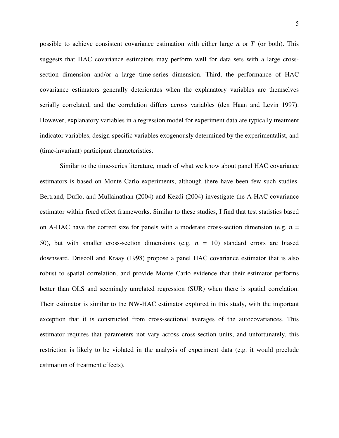possible to achieve consistent covariance estimation with either large  $n$  or  $T$  (or both). This suggests that HAC covariance estimators may perform well for data sets with a large crosssection dimension and/or a large time-series dimension. Third, the performance of HAC covariance estimators generally deteriorates when the explanatory variables are themselves serially correlated, and the correlation differs across variables (den Haan and Levin 1997). However, explanatory variables in a regression model for experiment data are typically treatment indicator variables, design-specific variables exogenously determined by the experimentalist, and (time-invariant) participant characteristics.

Similar to the time-series literature, much of what we know about panel HAC covariance estimators is based on Monte Carlo experiments, although there have been few such studies. Bertrand, Duflo, and Mullainathan (2004) and Kezdi (2004) investigate the A-HAC covariance estimator within fixed effect frameworks. Similar to these studies, I find that test statistics based on A-HAC have the correct size for panels with a moderate cross-section dimension (e.g.  $n =$ 50), but with smaller cross-section dimensions (e.g.  $n = 10$ ) standard errors are biased downward. Driscoll and Kraay (1998) propose a panel HAC covariance estimator that is also robust to spatial correlation, and provide Monte Carlo evidence that their estimator performs better than OLS and seemingly unrelated regression (SUR) when there is spatial correlation. Their estimator is similar to the NW-HAC estimator explored in this study, with the important exception that it is constructed from cross-sectional averages of the autocovariances. This estimator requires that parameters not vary across cross-section units, and unfortunately, this restriction is likely to be violated in the analysis of experiment data (e.g. it would preclude estimation of treatment effects).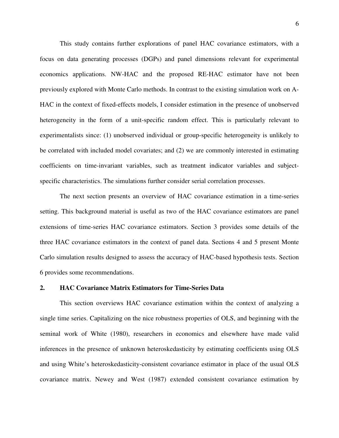This study contains further explorations of panel HAC covariance estimators, with a focus on data generating processes (DGPs) and panel dimensions relevant for experimental economics applications. NW-HAC and the proposed RE-HAC estimator have not been previously explored with Monte Carlo methods. In contrast to the existing simulation work on A-HAC in the context of fixed-effects models, I consider estimation in the presence of unobserved heterogeneity in the form of a unit-specific random effect. This is particularly relevant to experimentalists since: (1) unobserved individual or group-specific heterogeneity is unlikely to be correlated with included model covariates; and (2) we are commonly interested in estimating coefficients on time-invariant variables, such as treatment indicator variables and subjectspecific characteristics. The simulations further consider serial correlation processes.

The next section presents an overview of HAC covariance estimation in a time-series setting. This background material is useful as two of the HAC covariance estimators are panel extensions of time-series HAC covariance estimators. Section 3 provides some details of the three HAC covariance estimators in the context of panel data. Sections 4 and 5 present Monte Carlo simulation results designed to assess the accuracy of HAC-based hypothesis tests. Section 6 provides some recommendations.

#### **2. HAC Covariance Matrix Estimators for Time-Series Data**

This section overviews HAC covariance estimation within the context of analyzing a single time series. Capitalizing on the nice robustness properties of OLS, and beginning with the seminal work of White (1980), researchers in economics and elsewhere have made valid inferences in the presence of unknown heteroskedasticity by estimating coefficients using OLS and using White's heteroskedasticity-consistent covariance estimator in place of the usual OLS covariance matrix. Newey and West (1987) extended consistent covariance estimation by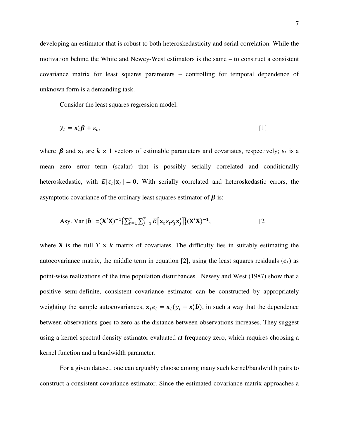developing an estimator that is robust to both heteroskedasticity and serial correlation. While the motivation behind the White and Newey-West estimators is the same – to construct a consistent covariance matrix for least squares parameters – controlling for temporal dependence of unknown form is a demanding task.

Consider the least squares regression model:

$$
y_t = \mathbf{x}_t' \boldsymbol{\beta} + \varepsilon_t, \tag{1}
$$

where  $\beta$  and  $x_t$  are  $k \times 1$  vectors of estimable parameters and covariates, respectively;  $\varepsilon_t$  is a mean zero error term (scalar) that is possibly serially correlated and conditionally heteroskedastic, with  $E[\varepsilon_t | \mathbf{x}_t] = 0$ . With serially correlated and heteroskedastic errors, the asymptotic covariance of the ordinary least squares estimator of  $\beta$  is:

Asy. Var [**b**] = 
$$
(\mathbf{X}'\mathbf{X})^{-1}\left\{\sum_{t=1}^{T} \sum_{j=1}^{T} E\left[\mathbf{x}_t \varepsilon_t \varepsilon_j \mathbf{x}'_j\right]\right\} (\mathbf{X}'\mathbf{X})^{-1},
$$
 [2]

where **X** is the full  $T \times k$  matrix of covariates. The difficulty lies in suitably estimating the autocovariance matrix, the middle term in equation [2], using the least squares residuals  $(e_t)$  as point-wise realizations of the true population disturbances. Newey and West (1987) show that a positive semi-definite, consistent covariance estimator can be constructed by appropriately weighting the sample autocovariances,  $\mathbf{x}_t e_t = \mathbf{x}_t (y_t - \mathbf{x}'_t \mathbf{b})$ , in such a way that the dependence between observations goes to zero as the distance between observations increases. They suggest using a kernel spectral density estimator evaluated at frequency zero, which requires choosing a kernel function and a bandwidth parameter.

For a given dataset, one can arguably choose among many such kernel/bandwidth pairs to construct a consistent covariance estimator. Since the estimated covariance matrix approaches a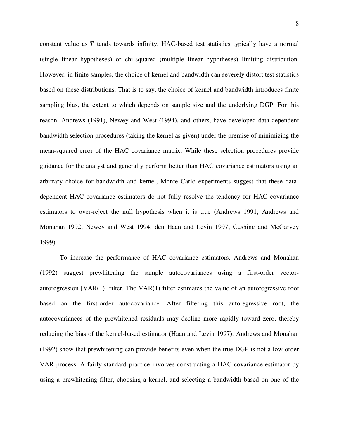constant value as  $T$  tends towards infinity, HAC-based test statistics typically have a normal (single linear hypotheses) or chi-squared (multiple linear hypotheses) limiting distribution. However, in finite samples, the choice of kernel and bandwidth can severely distort test statistics based on these distributions. That is to say, the choice of kernel and bandwidth introduces finite sampling bias, the extent to which depends on sample size and the underlying DGP. For this reason, Andrews (1991), Newey and West (1994), and others, have developed data-dependent bandwidth selection procedures (taking the kernel as given) under the premise of minimizing the mean-squared error of the HAC covariance matrix. While these selection procedures provide guidance for the analyst and generally perform better than HAC covariance estimators using an arbitrary choice for bandwidth and kernel, Monte Carlo experiments suggest that these datadependent HAC covariance estimators do not fully resolve the tendency for HAC covariance estimators to over-reject the null hypothesis when it is true (Andrews 1991; Andrews and Monahan 1992; Newey and West 1994; den Haan and Levin 1997; Cushing and McGarvey 1999).

To increase the performance of HAC covariance estimators, Andrews and Monahan (1992) suggest prewhitening the sample autocovariances using a first-order vectorautoregression  $[VAR(1)]$  filter. The  $VAR(1)$  filter estimates the value of an autoregressive root based on the first-order autocovariance. After filtering this autoregressive root, the autocovariances of the prewhitened residuals may decline more rapidly toward zero, thereby reducing the bias of the kernel-based estimator (Haan and Levin 1997). Andrews and Monahan (1992) show that prewhitening can provide benefits even when the true DGP is not a low-order VAR process. A fairly standard practice involves constructing a HAC covariance estimator by using a prewhitening filter, choosing a kernel, and selecting a bandwidth based on one of the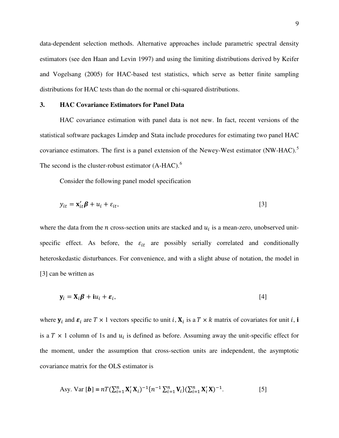data-dependent selection methods. Alternative approaches include parametric spectral density estimators (see den Haan and Levin 1997) and using the limiting distributions derived by Keifer and Vogelsang (2005) for HAC-based test statistics, which serve as better finite sampling distributions for HAC tests than do the normal or chi-squared distributions.

## **3. HAC Covariance Estimators for Panel Data**

HAC covariance estimation with panel data is not new. In fact, recent versions of the statistical software packages Limdep and Stata include procedures for estimating two panel HAC covariance estimators. The first is a panel extension of the Newey-West estimator (NW-HAC).<sup>[5](#page-28-1)</sup> The second is the cluster-robust estimator  $(A-HAC)$ .<sup>[6](#page-28-2)</sup>

Consider the following panel model specification

$$
y_{it} = \mathbf{x}'_{it} \boldsymbol{\beta} + u_i + \varepsilon_{it},
$$
\n<sup>(3)</sup>

where the data from the *n* cross-section units are stacked and  $u_i$  is a mean-zero, unobserved unitspecific effect. As before, the  $\varepsilon_{it}$  are possibly serially correlated and conditionally heteroskedastic disturbances. For convenience, and with a slight abuse of notation, the model in [3] can be written as

$$
\mathbf{y}_i = \mathbf{X}_i \boldsymbol{\beta} + \mathbf{i} u_i + \boldsymbol{\varepsilon}_i, \tag{4}
$$

where  $y_i$  and  $\varepsilon_i$  are  $T \times 1$  vectors specific to unit i,  $X_i$  is a  $T \times k$  matrix of covariates for unit i, i is a  $T \times 1$  column of 1s and  $u_i$  is defined as before. Assuming away the unit-specific effect for the moment, under the assumption that cross-section units are independent, the asymptotic covariance matrix for the OLS estimator is

Asy. Var [**b**] = 
$$
nT(\sum_{i=1}^{n} X'_{i} X_{i})^{-1} \{n^{-1} \sum_{i=1}^{n} V_{i}\} (\sum_{i=1}^{n} X'_{i} X)^{-1}.
$$
 [5]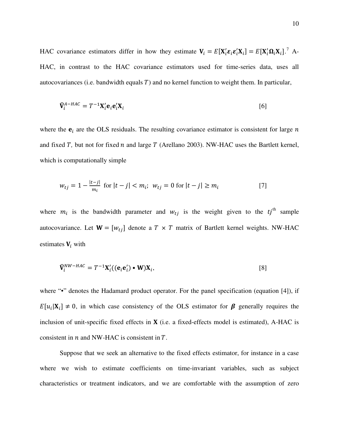HAC covariance estimators differ in how they estimate  $V_i = E[X'_i \varepsilon_i \varepsilon'_i X_i] = E[X'_i \Omega_i X_i]$ .<sup>[7](#page-28-3)</sup> A-HAC, in contrast to the HAC covariance estimators used for time-series data, uses all autocovariances (i.e. bandwidth equals  $T$ ) and no kernel function to weight them. In particular,

$$
\widehat{\mathbf{V}}_i^{A-HAC} = T^{-1} \mathbf{X}_i' \mathbf{e}_i \mathbf{e}_i' \mathbf{X}_i \tag{6}
$$

where the  $e_i$  are the OLS residuals. The resulting covariance estimator is consistent for large  $n$ and fixed  $T$ , but not for fixed  $n$  and large  $T$  (Arellano 2003). NW-HAC uses the Bartlett kernel, which is computationally simple

$$
w_{tj} = 1 - \frac{|t - j|}{m_i} \text{ for } |t - j| < m_i; \ w_{tj} = 0 \text{ for } |t - j| \ge m_i \tag{7}
$$

where  $m_i$  is the bandwidth parameter and  $w_{tj}$  is the weight given to the  $tj^{\text{th}}$  sample autocovariance. Let  $W = [w_{ti}]$  denote a  $T \times T$  matrix of Bartlett kernel weights. NW-HAC estimates  $V_i$  with

$$
\widehat{\mathbf{V}}_i^{NW-HAC} = T^{-1} \mathbf{X}_i' ((\mathbf{e}_i \mathbf{e}_i') \bullet \mathbf{W}) \mathbf{X}_i,
$$
\n<sup>(8)</sup>

where "•" denotes the Hadamard product operator. For the panel specification (equation [4]), if  $E[u_i|\mathbf{X}_i] \neq 0$ , in which case consistency of the OLS estimator for  $\beta$  generally requires the inclusion of unit-specific fixed effects in  $X$  (i.e. a fixed-effects model is estimated), A-HAC is consistent in  $n$  and NW-HAC is consistent in  $T$ .

Suppose that we seek an alternative to the fixed effects estimator, for instance in a case where we wish to estimate coefficients on time-invariant variables, such as subject characteristics or treatment indicators, and we are comfortable with the assumption of zero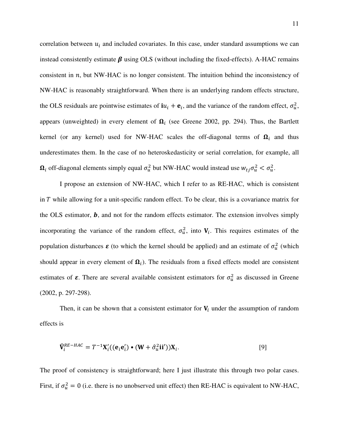correlation between  $u_i$  and included covariates. In this case, under standard assumptions we can instead consistently estimate  $\beta$  using OLS (without including the fixed-effects). A-HAC remains consistent in  $n$ , but NW-HAC is no longer consistent. The intuition behind the inconsistency of NW-HAC is reasonably straightforward. When there is an underlying random effects structure, the OLS residuals are pointwise estimates of  $iu_i + e_i$ , and the variance of the random effect,  $\sigma_u^2$ , appears (unweighted) in every element of  $\Omega_i$  (see Greene 2002, pp. 294). Thus, the Bartlett kernel (or any kernel) used for NW-HAC scales the off-diagonal terms of  $\Omega_i$  and thus underestimates them. In the case of no heteroskedasticity or serial correlation, for example, all  $\Omega_i$  off-diagonal elements simply equal  $\sigma_u^2$  but NW-HAC would instead use  $w_{tj}\sigma_u^2 < \sigma_u^2$ .

I propose an extension of NW-HAC, which I refer to as RE-HAC, which is consistent in  $T$  while allowing for a unit-specific random effect. To be clear, this is a covariance matrix for the OLS estimator,  $\bm{b}$ , and not for the random effects estimator. The extension involves simply incorporating the variance of the random effect,  $\sigma_u^2$ , into  $V_i$ . This requires estimates of the population disturbances  $\boldsymbol{\varepsilon}$  (to which the kernel should be applied) and an estimate of  $\sigma_u^2$  (which should appear in every element of  $\Omega_i$ ). The residuals from a fixed effects model are consistent estimates of  $\varepsilon$ . There are several available consistent estimators for  $\sigma_u^2$  as discussed in Greene (2002, p. 297-298).

Then, it can be shown that a consistent estimator for  $V_i$  under the assumption of random effects is

$$
\widehat{\mathbf{V}}_i^{RE-HAC} = T^{-1} \mathbf{X}_i'((\mathbf{e}_i \mathbf{e}_i') \bullet (\mathbf{W} + \widehat{\sigma}_u^2 \mathbf{ii}')) \mathbf{X}_i.
$$
\n
$$
[9]
$$

The proof of consistency is straightforward; here I just illustrate this through two polar cases. First, if  $\sigma_u^2 = 0$  (i.e. there is no unobserved unit effect) then RE-HAC is equivalent to NW-HAC,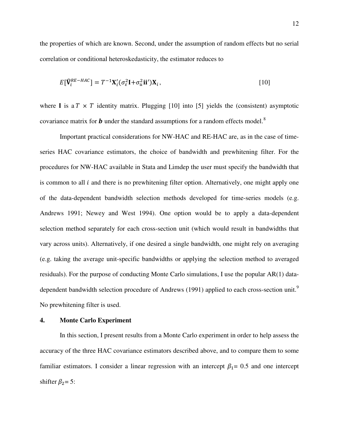the properties of which are known. Second, under the assumption of random effects but no serial correlation or conditional heteroskedasticity, the estimator reduces to

$$
E[\widehat{\mathbf{V}}_i^{RE-HAC}] = T^{-1}\mathbf{X}_i'(\sigma_\varepsilon^2 \mathbf{I} + \sigma_u^2 \mathbf{ii'})\mathbf{X}_i, \tag{10}
$$

where **I** is a  $T \times T$  identity matrix. Plugging [10] into [5] yields the (consistent) asymptotic covariance matrix for  **under the standard assumptions for a random effects model.<sup>[8](#page-28-4)</sup>** 

Important practical considerations for NW-HAC and RE-HAC are, as in the case of timeseries HAC covariance estimators, the choice of bandwidth and prewhitening filter. For the procedures for NW-HAC available in Stata and Limdep the user must specify the bandwidth that is common to all  $i$  and there is no prewhitening filter option. Alternatively, one might apply one of the data-dependent bandwidth selection methods developed for time-series models (e.g. Andrews 1991; Newey and West 1994). One option would be to apply a data-dependent selection method separately for each cross-section unit (which would result in bandwidths that vary across units). Alternatively, if one desired a single bandwidth, one might rely on averaging (e.g. taking the average unit-specific bandwidths or applying the selection method to averaged residuals). For the purpose of conducting Monte Carlo simulations, I use the popular AR(1) data-dependent bandwidth selection procedure of Andrews (1[9](#page-28-5)91) applied to each cross-section unit.<sup>9</sup> No prewhitening filter is used.

#### **4. Monte Carlo Experiment**

 In this section, I present results from a Monte Carlo experiment in order to help assess the accuracy of the three HAC covariance estimators described above, and to compare them to some familiar estimators. I consider a linear regression with an intercept  $\beta_1 = 0.5$  and one intercept shifter  $\beta_2$ = 5: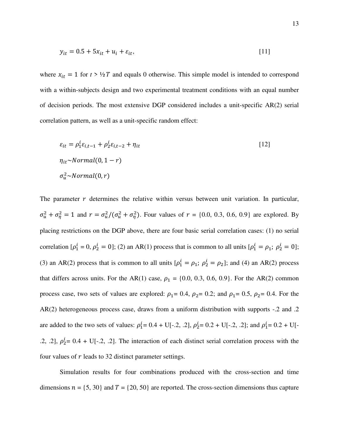$$
y_{it} = 0.5 + 5x_{it} + u_i + \varepsilon_{it},
$$
 [11]

where  $x_{it} = 1$  for  $t > \frac{1}{2}T$  and equals 0 otherwise. This simple model is intended to correspond with a within-subjects design and two experimental treatment conditions with an equal number of decision periods. The most extensive DGP considered includes a unit-specific AR(2) serial correlation pattern, as well as a unit-specific random effect:

$$
\varepsilon_{it} = \rho_1^i \varepsilon_{i,t-1} + \rho_2^i \varepsilon_{i,t-2} + \eta_{it}
$$
\n
$$
\eta_{it} \sim Normal(0, 1 - r)
$$
\n
$$
\sigma_u^2 \sim Normal(0, r)
$$
\n(12)

The parameter  *determines the relative within versus between unit variation. In particular,*  $\sigma_u^2 + \sigma_\eta^2 = 1$  and  $r = \sigma_u^2/(\sigma_u^2 + \sigma_\eta^2)$ . Four values of  $r = \{0.0, 0.3, 0.6, 0.9\}$  are explored. By placing restrictions on the DGP above, there are four basic serial correlation cases: (1) no serial correlation  $[\rho_1^l = 0, \rho_2^l = 0]$ ; (2) an AR(1) process that is common to all units  $[\rho_1^l = \rho_1; \rho_2^l = 0]$ ; (3) an AR(2) process that is common to all units  $[\rho_1^1 = \rho_1; \rho_2^1 = \rho_2]$ ; and (4) an AR(2) process that differs across units. For the AR(1) case,  $\rho_1 = \{0.0, 0.3, 0.6, 0.9\}$ . For the AR(2) common process case, two sets of values are explored:  $\rho_1= 0.4$ ,  $\rho_2= 0.2$ ; and  $\rho_1= 0.5$ ,  $\rho_2= 0.4$ . For the AR(2) heterogeneous process case, draws from a uniform distribution with supports -.2 and .2 are added to the two sets of values:  $\rho_1^1 = 0.4 + U[-.2, .2], \rho_2^1 = 0.2 + U[-.2, .2]$ ; and  $\rho_1^1 = 0.2 + U[-.2, .2]$ .2, .2],  $\rho_2^1 = 0.4 + U[-.2, .2]$ . The interaction of each distinct serial correlation process with the four values of  $r$  leads to 32 distinct parameter settings.

Simulation results for four combinations produced with the cross-section and time dimensions  $n = \{5, 30\}$  and  $T = \{20, 50\}$  are reported. The cross-section dimensions thus capture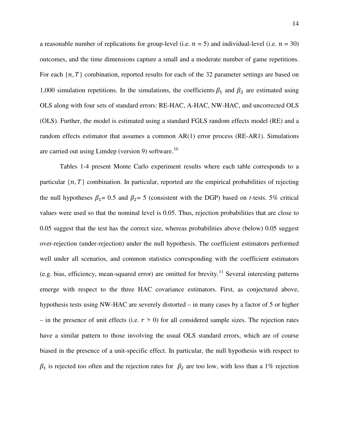a reasonable number of replications for group-level (i.e.  $n = 5$ ) and individual-level (i.e.  $n = 30$ ) outcomes, and the time dimensions capture a small and a moderate number of game repetitions. For each  $\{n, T\}$  combination, reported results for each of the 32 parameter settings are based on 1,000 simulation repetitions. In the simulations, the coefficients  $\beta_1$  and  $\beta_2$  are estimated using OLS along with four sets of standard errors: RE-HAC, A-HAC, NW-HAC, and uncorrected OLS (OLS). Further, the model is estimated using a standard FGLS random effects model (RE) and a random effects estimator that assumes a common AR(1) error process (RE-AR1). Simulations are carried out using Limdep (version 9) software. $^{10}$  $^{10}$  $^{10}$ 

Tables 1-4 present Monte Carlo experiment results where each table corresponds to a particular  $\{n, T\}$  combination. In particular, reported are the empirical probabilities of rejecting the null hypotheses  $\beta_1 = 0.5$  and  $\beta_2 = 5$  (consistent with the DGP) based on *t*-tests. 5% critical values were used so that the nominal level is 0.05. Thus, rejection probabilities that are close to 0.05 suggest that the test has the correct size, whereas probabilities above (below) 0.05 suggest over-rejection (under-rejection) under the null hypothesis. The coefficient estimators performed well under all scenarios, and common statistics corresponding with the coefficient estimators (e.g. bias, efficiency, mean-squared error) are omitted for brevity.<sup>[11](#page-28-7)</sup> Several interesting patterns emerge with respect to the three HAC covariance estimators. First, as conjectured above, hypothesis tests using NW-HAC are severely distorted – in many cases by a factor of 5 or higher – in the presence of unit effects (i.e.  $r > 0$ ) for all considered sample sizes. The rejection rates have a similar pattern to those involving the usual OLS standard errors, which are of course biased in the presence of a unit-specific effect. In particular, the null hypothesis with respect to  $\beta_1$  is rejected too often and the rejection rates for  $\beta_2$  are too low, with less than a 1% rejection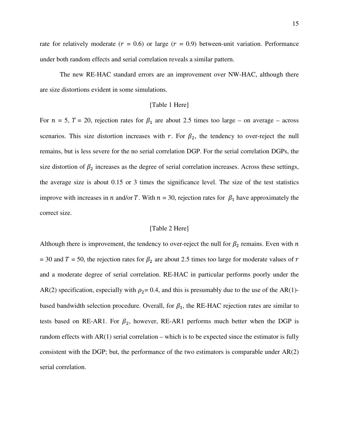rate for relatively moderate ( $r = 0.6$ ) or large ( $r = 0.9$ ) between-unit variation. Performance under both random effects and serial correlation reveals a similar pattern.

The new RE-HAC standard errors are an improvement over NW-HAC, although there are size distortions evident in some simulations.

#### [Table 1 Here]

For  $n = 5$ ,  $T = 20$ , rejection rates for  $\beta_1$  are about 2.5 times too large – on average – across scenarios. This size distortion increases with r. For  $\beta_2$ , the tendency to over-reject the null remains, but is less severe for the no serial correlation DGP. For the serial correlation DGPs, the size distortion of  $\beta_2$  increases as the degree of serial correlation increases. Across these settings, the average size is about 0.15 or 3 times the significance level. The size of the test statistics improve with increases in *n* and/or *T*. With  $n = 30$ , rejection rates for  $\beta_1$  have approximately the correct size.

#### [Table 2 Here]

Although there is improvement, the tendency to over-reject the null for  $\beta_2$  remains. Even with n = 30 and  $T = 50$ , the rejection rates for  $\beta_2$  are about 2.5 times too large for moderate values of r and a moderate degree of serial correlation. RE-HAC in particular performs poorly under the AR(2) specification, especially with  $\rho_2$ = 0.4, and this is presumably due to the use of the AR(1)based bandwidth selection procedure. Overall, for  $\beta_1$ , the RE-HAC rejection rates are similar to tests based on RE-AR1. For  $\beta_2$ , however, RE-AR1 performs much better when the DGP is random effects with  $AR(1)$  serial correlation – which is to be expected since the estimator is fully consistent with the DGP; but, the performance of the two estimators is comparable under  $AR(2)$ serial correlation.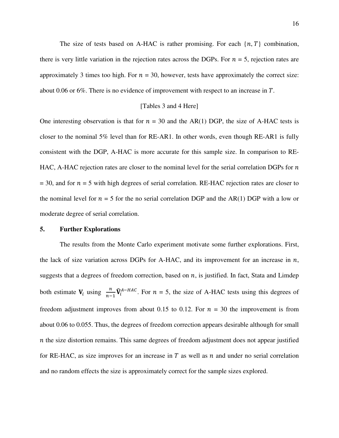The size of tests based on A-HAC is rather promising. For each  $\{n, T\}$  combination, there is very little variation in the rejection rates across the DGPs. For  $n = 5$ , rejection rates are approximately 3 times too high. For  $n = 30$ , however, tests have approximately the correct size: about 0.06 or 6%. There is no evidence of improvement with respect to an increase in  $T$ .

#### [Tables 3 and 4 Here]

One interesting observation is that for  $n = 30$  and the AR(1) DGP, the size of A-HAC tests is closer to the nominal 5% level than for RE-AR1. In other words, even though RE-AR1 is fully consistent with the DGP, A-HAC is more accurate for this sample size. In comparison to RE-HAC, A-HAC rejection rates are closer to the nominal level for the serial correlation DGPs for  $n$  $= 30$ , and for  $n = 5$  with high degrees of serial correlation. RE-HAC rejection rates are closer to the nominal level for  $n = 5$  for the no serial correlation DGP and the AR(1) DGP with a low or moderate degree of serial correlation.

#### **5. Further Explorations**

The results from the Monte Carlo experiment motivate some further explorations. First, the lack of size variation across DGPs for A-HAC, and its improvement for an increase in  $n$ , suggests that a degrees of freedom correction, based on  $n$ , is justified. In fact, Stata and Limdep both estimate  $V_i$  using  $\frac{n}{n-1}\hat{V}_i^{A-HAC}$ . For  $n = 5$ , the size of A-HAC tests using this degrees of freedom adjustment improves from about 0.15 to 0.12. For  $n = 30$  the improvement is from about 0.06 to 0.055. Thus, the degrees of freedom correction appears desirable although for small  $n$  the size distortion remains. This same degrees of freedom adjustment does not appear justified for RE-HAC, as size improves for an increase in  $T$  as well as  $n$  and under no serial correlation and no random effects the size is approximately correct for the sample sizes explored.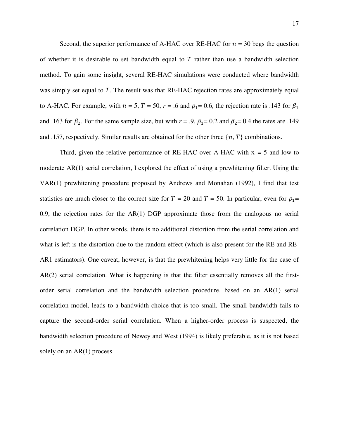Second, the superior performance of A-HAC over RE-HAC for  $n = 30$  begs the question of whether it is desirable to set bandwidth equal to  $T$  rather than use a bandwidth selection method. To gain some insight, several RE-HAC simulations were conducted where bandwidth was simply set equal to  $T$ . The result was that RE-HAC rejection rates are approximately equal to A-HAC. For example, with  $n = 5$ ,  $T = 50$ ,  $r = .6$  and  $\rho_1 = 0.6$ , the rejection rate is .143 for  $\beta_1$ and .163 for  $\beta_2$ . For the same sample size, but with  $r = .9$ ,  $\bar{\rho}_1 = 0.2$  and  $\bar{\rho}_2 = 0.4$  the rates are .149 and .157, respectively. Similar results are obtained for the other three  $\{n, T\}$  combinations.

Third, given the relative performance of RE-HAC over A-HAC with  $n = 5$  and low to moderate AR(1) serial correlation, I explored the effect of using a prewhitening filter. Using the VAR(1) prewhitening procedure proposed by Andrews and Monahan (1992), I find that test statistics are much closer to the correct size for  $T = 20$  and  $T = 50$ . In particular, even for  $\rho_1 =$ 0.9, the rejection rates for the AR(1) DGP approximate those from the analogous no serial correlation DGP. In other words, there is no additional distortion from the serial correlation and what is left is the distortion due to the random effect (which is also present for the RE and RE-AR1 estimators). One caveat, however, is that the prewhitening helps very little for the case of AR(2) serial correlation. What is happening is that the filter essentially removes all the firstorder serial correlation and the bandwidth selection procedure, based on an AR(1) serial correlation model, leads to a bandwidth choice that is too small. The small bandwidth fails to capture the second-order serial correlation. When a higher-order process is suspected, the bandwidth selection procedure of Newey and West (1994) is likely preferable, as it is not based solely on an AR(1) process.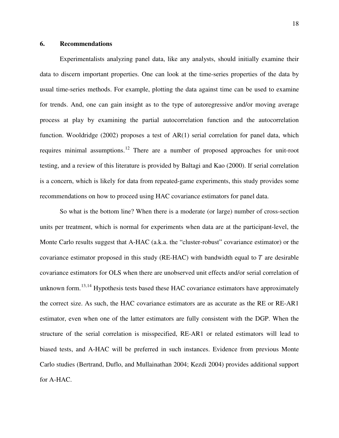# **6. Recommendations**

Experimentalists analyzing panel data, like any analysts, should initially examine their data to discern important properties. One can look at the time-series properties of the data by usual time-series methods. For example, plotting the data against time can be used to examine for trends. And, one can gain insight as to the type of autoregressive and/or moving average process at play by examining the partial autocorrelation function and the autocorrelation function. Wooldridge (2002) proposes a test of AR(1) serial correlation for panel data, which requires minimal assumptions.[12](#page-28-8) There are a number of proposed approaches for unit-root testing, and a review of this literature is provided by Baltagi and Kao (2000). If serial correlation is a concern, which is likely for data from repeated-game experiments, this study provides some recommendations on how to proceed using HAC covariance estimators for panel data.

So what is the bottom line? When there is a moderate (or large) number of cross-section units per treatment, which is normal for experiments when data are at the participant-level, the Monte Carlo results suggest that A-HAC (a.k.a. the "cluster-robust" covariance estimator) or the covariance estimator proposed in this study (RE-HAC) with bandwidth equal to  $T$  are desirable covariance estimators for OLS when there are unobserved unit effects and/or serial correlation of unknown form.<sup>[13,](#page-28-9)[14](#page-28-10)</sup> Hypothesis tests based these HAC covariance estimators have approximately the correct size. As such, the HAC covariance estimators are as accurate as the RE or RE-AR1 estimator, even when one of the latter estimators are fully consistent with the DGP. When the structure of the serial correlation is misspecified, RE-AR1 or related estimators will lead to biased tests, and A-HAC will be preferred in such instances. Evidence from previous Monte Carlo studies (Bertrand, Duflo, and Mullainathan 2004; Kezdi 2004) provides additional support for A-HAC.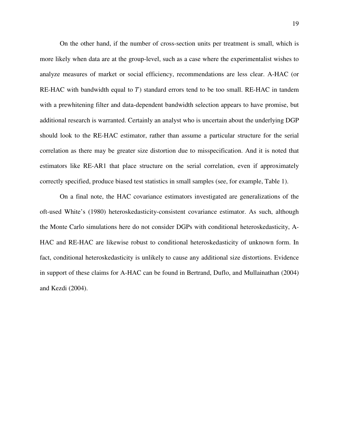On the other hand, if the number of cross-section units per treatment is small, which is more likely when data are at the group-level, such as a case where the experimentalist wishes to analyze measures of market or social efficiency, recommendations are less clear. A-HAC (or RE-HAC with bandwidth equal to  $T$ ) standard errors tend to be too small. RE-HAC in tandem with a prewhitening filter and data-dependent bandwidth selection appears to have promise, but additional research is warranted. Certainly an analyst who is uncertain about the underlying DGP should look to the RE-HAC estimator, rather than assume a particular structure for the serial correlation as there may be greater size distortion due to misspecification. And it is noted that estimators like RE-AR1 that place structure on the serial correlation, even if approximately correctly specified, produce biased test statistics in small samples (see, for example, Table 1).

On a final note, the HAC covariance estimators investigated are generalizations of the oft-used White's (1980) heteroskedasticity-consistent covariance estimator. As such, although the Monte Carlo simulations here do not consider DGPs with conditional heteroskedasticity, A-HAC and RE-HAC are likewise robust to conditional heteroskedasticity of unknown form. In fact, conditional heteroskedasticity is unlikely to cause any additional size distortions. Evidence in support of these claims for A-HAC can be found in Bertrand, Duflo, and Mullainathan (2004) and Kezdi (2004).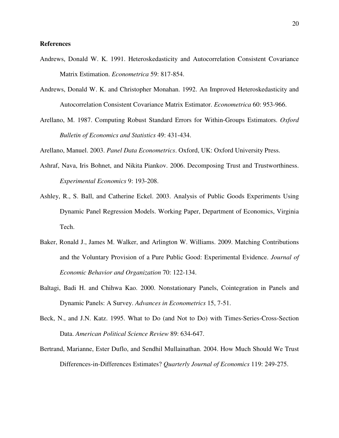## **References**

- Andrews, Donald W. K. 1991. Heteroskedasticity and Autocorrelation Consistent Covariance Matrix Estimation. *Econometrica* 59: 817-854.
- Andrews, Donald W. K. and Christopher Monahan. 1992. An Improved Heteroskedasticity and Autocorrelation Consistent Covariance Matrix Estimator. *Econometrica* 60: 953-966.
- Arellano, M. 1987. Computing Robust Standard Errors for Within-Groups Estimators. *Oxford Bulletin of Economics and Statistics* 49: 431-434.

Arellano, Manuel. 2003. *Panel Data Econometrics*. Oxford, UK: Oxford University Press.

- Ashraf, Nava, Iris Bohnet, and Nikita Piankov. 2006. Decomposing Trust and Trustworthiness. *Experimental Economics* 9: 193-208.
- Ashley, R., S. Ball, and Catherine Eckel. 2003. Analysis of Public Goods Experiments Using Dynamic Panel Regression Models. Working Paper, Department of Economics, Virginia Tech.
- Baker, Ronald J., James M. Walker, and Arlington W. Williams. 2009. Matching Contributions and the Voluntary Provision of a Pure Public Good: Experimental Evidence. *Journal of Economic Behavior and Organization* 70: 122-134.
- Baltagi, Badi H. and Chihwa Kao. 2000. Nonstationary Panels, Cointegration in Panels and Dynamic Panels: A Survey. *Advances in Econometrics* 15, 7-51.
- Beck, N., and J.N. Katz. 1995. What to Do (and Not to Do) with Times-Series-Cross-Section Data. *American Political Science Review* 89: 634-647.
- Bertrand, Marianne, Ester Duflo, and Sendhil Mullainathan. 2004. How Much Should We Trust Differences-in-Differences Estimates? *Quarterly Journal of Economics* 119: 249-275.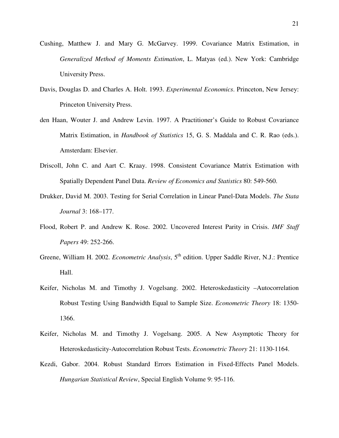- Cushing, Matthew J. and Mary G. McGarvey. 1999. Covariance Matrix Estimation, in *Generalized Method of Moments Estimation*, L. Matyas (ed.). New York: Cambridge University Press.
- Davis, Douglas D. and Charles A. Holt. 1993. *Experimental Economics*. Princeton, New Jersey: Princeton University Press.
- den Haan, Wouter J. and Andrew Levin. 1997. A Practitioner's Guide to Robust Covariance Matrix Estimation, in *Handbook of Statistics* 15, G. S. Maddala and C. R. Rao (eds.). Amsterdam: Elsevier.
- Driscoll, John C. and Aart C. Kraay. 1998. Consistent Covariance Matrix Estimation with Spatially Dependent Panel Data. *Review of Economics and Statistics* 80: 549-560.
- Drukker, David M. 2003. Testing for Serial Correlation in Linear Panel-Data Models. *The Stata Journal* 3: 168–177.
- Flood, Robert P. and Andrew K. Rose. 2002. Uncovered Interest Parity in Crisis. *IMF Staff Papers* 49: 252-266.
- Greene, William H. 2002. *Econometric Analysis*, 5<sup>th</sup> edition. Upper Saddle River, N.J.: Prentice Hall.
- Keifer, Nicholas M. and Timothy J. Vogelsang. 2002. Heteroskedasticity –Autocorrelation Robust Testing Using Bandwidth Equal to Sample Size. *Econometric Theory* 18: 1350- 1366.
- Keifer, Nicholas M. and Timothy J. Vogelsang. 2005. A New Asymptotic Theory for Heteroskedasticity-Autocorrelation Robust Tests. *Econometric Theory* 21: 1130-1164.
- Kezdi, Gabor. 2004. Robust Standard Errors Estimation in Fixed-Effects Panel Models. *Hungarian Statistical Review*, Special English Volume 9: 95-116.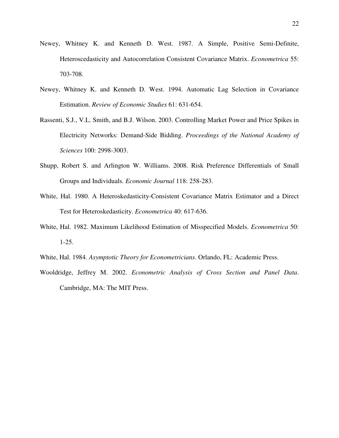- Newey, Whitney K. and Kenneth D. West. 1987. A Simple, Positive Semi-Definite, Heteroscedasticity and Autocorrelation Consistent Covariance Matrix. *Econometrica* 55: 703-708.
- Newey, Whitney K. and Kenneth D. West. 1994. Automatic Lag Selection in Covariance Estimation. *Review of Economic Studies* 61: 631-654.
- Rassenti, S.J., V.L. Smith, and B.J. Wilson. 2003. Controlling Market Power and Price Spikes in Electricity Networks: Demand-Side Bidding. *Proceedings of the National Academy of Sciences* 100: 2998-3003.
- Shupp, Robert S. and Arlington W. Williams. 2008. Risk Preference Differentials of Small Groups and Individuals. *Economic Journal* 118: 258-283.
- White, Hal. 1980. A Heteroskedasticity-Consistent Covariance Matrix Estimator and a Direct Test for Heteroskedasticity. *Econometrica* 40: 617-636.
- White, Hal. 1982. Maximum Likelihood Estimation of Misspecified Models. *Econometrica* 50: 1-25.
- White, Hal. 1984. *Asymptotic Theory for Econometricians*. Orlando, FL: Academic Press.
- Wooldridge, Jeffrey M. 2002. *Econometric Analysis of Cross Section and Panel Data*. Cambridge, MA: The MIT Press.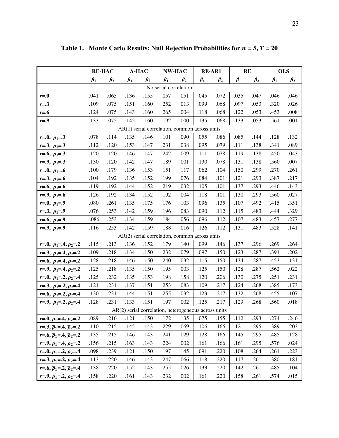|                                                 | <b>RE-HAC</b> |           | A-HAC     |           | <b>RE-AR1</b><br>NW-HAC |           |                                                        | <b>RE</b> |           | <b>OLS</b> |           |           |
|-------------------------------------------------|---------------|-----------|-----------|-----------|-------------------------|-----------|--------------------------------------------------------|-----------|-----------|------------|-----------|-----------|
|                                                 | $\beta_1$     | $\beta_2$ | $\beta_1$ | $\beta_2$ | $\beta_1$               | $\beta_2$ | $\beta_1$                                              | $\beta_2$ | $\beta_1$ | $\beta_2$  | $\beta_1$ | $\beta_2$ |
| No serial correlation                           |               |           |           |           |                         |           |                                                        |           |           |            |           |           |
| $r = 0$                                         | .041          | .065      | .136      | .155      | .057                    | .051      | .045                                                   | .072      | .035      | .047       | .046      | .046      |
| $r = .3$                                        | .109          | .075      | .151      | .160      | .252                    | .013      | .099                                                   | .068      | .097      | .053       | .320      | .026      |
| $r = .6$                                        | .124          | .075      | .143      | .160      | .265                    | .004      | .118                                                   | .068      | .122      | .053       | .453      | .008      |
| $r = .9$                                        | .133          | .075      | .142      | .160      | .192                    | .000      | .135                                                   | .068      | .133      | .053       | .561      | .001      |
| $AR(1)$ serial correlation, common across units |               |           |           |           |                         |           |                                                        |           |           |            |           |           |
| $r=0, \rho_1=3$                                 | .078          | .114      | .135      | .146      | .101                    | .090      | .055                                                   | .086      | .085      | .144       | .128      | .132      |
| $r=3, p_1=3$                                    | .112          | .120      | .153      | .147      | .231                    | .038      | .095                                                   | .079      | .111      | .138       | .341      | .089      |
| $r=0.6, p_1=0.3$                                | .120          | .120      | .146      | .147      | .242                    | .009      | .111                                                   | .078      | .119      | .138       | .450      | .043      |
| $r=0, \rho_1=0.3$                               | .130          | .120      | .142      | .147      | .189                    | .001      | .130                                                   | .078      | .131      | .138       | .560      | .007      |
| $r=0, \rho_1=0.6$                               | .100          | .179      | .136      | .153      | .151                    | .117      | .062                                                   | .104      | .150      | .299       | .270      | .261      |
| $r=3, p_1=6$                                    | .104          | .192      | .135      | .152      | .199                    | .076      | .084                                                   | .101      | .121      | .293       | .387      | .217      |
| $r=0.6, p_1=0.6$                                | .119          | .192      | .144      | .152      | .219                    | .032      | .105                                                   | .101      | .137      | .293       | .446      | .143      |
| $r=0, \rho_1=0.6$                               | .126          | .192      | .134      | .152      | .192                    | .004      | .118                                                   | .101      | .130      | .293       | .560      | .027      |
| $r=0, \rho_1=0$                                 | .080          | .261      | .135      | .175      | .176                    | .103      | .096                                                   | .135      | .107      | .492       | .415      | .351      |
| $r=.3, p_1=.9$                                  | .076          | .253      | .142      | .159      | .196                    | .083      | .090                                                   | .112      | .115      | .483       | .444      | .329      |
| $r=0.6, p_1=0.9$                                | 086           | .253      | .134      | .159      | .184                    | .056      | .096                                                   | .112      | .107      | .483       | .457      | .277      |
| $r=0, \rho_1=0$                                 | .116          | .253      | .142      | ,159      | .188                    | .016      | .126                                                   | .112      | .131      | .483       | .528      | .141      |
|                                                 |               |           |           |           |                         |           | AR(2) serial correlation, common across units          |           |           |            |           |           |
| $r=0, \rho_1=4, \rho_2=2$                       | .115          | .213      | .136      | .152      | .179                    | .140      | .099                                                   | .146      | .137      | .296       | .269      | .264      |
| $r=3, \rho_1=4, \rho_2=2$                       | .109          | .218      | .134      | .150      | .232                    | .079      | .097                                                   | .150      | .123      | .287       | .391      | .202      |
| $r=0.6, p_1=0.4, p_2=0.2$                       | .128          | .218      | .146      | .150      | .240                    | .032      | .115                                                   | .150      | .134      | .287       | .453      | .131      |
| $r=0, \rho_1=0.4, \rho_2=0.2$                   | .125          | .218      | .135      | .150      | .195                    | .003      | .125                                                   | .150      | .128      | .287       | .562      | .022      |
| $r=0, \rho_1=2, \rho_2=4$                       | .125          | .232      | .135      | .153      | .198                    | .158      | .120                                                   | .206      | .130      | .275       | .251      | .231      |
| $r=3, p_1=2, p_2=4$                             | .121          | .231      | .137      | .151      | .253                    | .083      | .109                                                   | .217      | .124      | .268       | .385      | .173      |
| $r=0.6, p_1=2, p_2=0.4$                         | .130          | .231      | .144      | .151      | .255                    | .032      | .123                                                   | .217      | .132      | .268       | .455      | .107      |
| $r=0, \rho_1=2, \rho_2=0.4$                     | .128          | .231      | .133      | .151      | .197                    | .002      | .125                                                   | .217      | .129      | .268       | .560      | .018      |
|                                                 |               |           |           |           |                         |           | $AR(2)$ serial correlation, heterogeneous across units |           |           |            |           |           |
| $r=0, \bar{p}_1=4, \bar{p}_2=2$                 | .089          | .216      | .121      | .150      | .172                    | .135      | .075                                                   | .155      | .112      | .293       | .274      | .246      |
| $r=3, \bar{p}_1=4, \bar{p}_2=2$                 | .110          | .215      | .145      | .143      | .229                    | .069      | .106                                                   | .166      | .121      | .295       | .389      | .203      |
| $r=0, \bar{p}_1=0, \bar{p}_2=0.2$               | .135          | .215      | .146      | .143      | .241                    | .029      | .128                                                   | .166      | .145      | .295       | .485      | .128      |
| $r=9, \bar{p}_1=4, \bar{p}_2=2$                 | .156          | .215      | .163      | .143      | .224                    | .002      | .161                                                   | .166      | .161      | .295       | .576      | .024      |
| $r=0, \bar{p}_1=2, \bar{p}_2=4$                 | .098          | .239      | .121      | .150      | .197                    | .145      | .091                                                   | .220      | .108      | .264       | .261      | .223      |
| $r=3, \bar{p}_1=2, \bar{p}_2=4$                 | .113          | .220      | .146      | .143      | .247                    | .066      | .118                                                   | .220      | .117      | .261       | .380      | .181      |
| $r=0.6, \bar{p}_1=0.2, \bar{p}_2=0.4$           | .138          | .220      | .152      | .143      | .255                    | .026      | .133                                                   | .220      | .142      | .261       | .485      | .104      |
| $r=0, \bar{\rho}_1=2, \bar{\rho}_2=4$           | .158          | .220      | .161      | .143      | .232                    | .002      | .161                                                   | .220      | .158      | .261       | .574      | .015      |

Table 1. Monte Carlo Results: Null Rejection Probabilities for  $n = 5$ ,  $T = 20$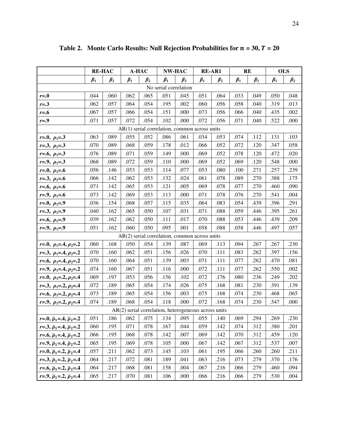|                                                 | <b>RE-HAC</b> |           | A-HAC     |           | NW-HAC                |                                                      | <b>RE-AR1</b> |           | <b>RE</b> |           | <b>OLS</b> |           |
|-------------------------------------------------|---------------|-----------|-----------|-----------|-----------------------|------------------------------------------------------|---------------|-----------|-----------|-----------|------------|-----------|
|                                                 | $\beta_1$     | $\beta_2$ | $\beta_1$ | $\beta_2$ | $\beta_1$             | $\beta_2$                                            | $\beta_1$     | $\beta_2$ | $\beta_1$ | $\beta_2$ | $\beta_1$  | $\beta_2$ |
|                                                 |               |           |           |           | No serial correlation |                                                      |               |           |           |           |            |           |
| $r = 0$                                         | .044          | .060      | .062      | .065      | .051                  | .045                                                 | .051          | .064      | .033      | .049      | .050       | .048      |
| $r = .3$                                        | .062          | .057      | .064      | .054      | .195                  | .002                                                 | .060          | .056      | .058      | .040      | .319       | .013      |
| $r = .6$                                        | .067          | .057      | .066      | .054      | .151                  | .000                                                 | .073          | .056      | .066      | .040      | .435       | .002      |
| $r = .9$                                        | .071          | .057      | .072      | .054      | .102                  | .000                                                 | .072          | .056      | .071      | .040      | .522       | .000      |
| $AR(1)$ serial correlation, common across units |               |           |           |           |                       |                                                      |               |           |           |           |            |           |
| $r=0, \rho_1=3$                                 | .063          | .089      | .055      | .052      | .086                  | .061                                                 | .034          | .053      | .074      | .112      | .131       | .103      |
| $r=.3, p_1=.3$                                  | .070          | .089      | .068      | .059      | .178                  | .012                                                 | .066          | .052      | .072      | .120      | .347       | .058      |
| $r=0.6, p_1=0.3$                                | .076          | .089      | .071      | .059      | .149                  | .000                                                 | .069          | .052      | .078      | .120      | .472       | .020      |
| $r=0, \rho_1=0.3$                               | .068          | .089      | .072      | .059      | .110                  | .000                                                 | .069          | .052      | .069      | .120      | .548       | .000      |
| $r=0, \rho_1=0$                                 | .056          | .146      | .053      | .053      | .114                  | .077                                                 | .053          | .080      | .100      | .271      | .257       | .239      |
| $r=3, p_1=6$                                    | .066          | .142      | .062      | .053      | .132                  | .024                                                 | .061          | .078      | .089      | .270      | .388       | .175      |
| $r=0.6, p_1=0.6$                                | .071          | .142      | .065      | .053      | .121                  | .005                                                 | .069          | .078      | .077      | .270      | .460       | .090      |
| $r=0, \rho_1=0.6$                               | .073          | .142      | .069      | .053      | .113                  | .000                                                 | .071          | .078      | .076      | .270      | .541       | .004      |
| $r=0, \rho_1=0$                                 | .036          | .154      | .068      | .057      | .115                  | .035                                                 | .064          | .083      | .054      | .439      | .396       | .291      |
| $r=.3, p_1=.9$                                  | .040          | .162      | .065      | .050      | .107                  | .031                                                 | .071          | .088      | .059      | .446      | .395       | .261      |
| $r=0.6, p_1=0.9$                                | .039          | .162      | .062      | .050      | .111                  | .017                                                 | .070          | .088      | .053      | .446      | .439       | .209      |
| $r=0, \rho_1=0$                                 | .051          | .162      | .060      | .050      | .095                  | .001                                                 | .058          | .088      | .058      | .446      | .497       | .057      |
|                                                 |               |           |           |           |                       | $AR(2)$ serial correlation, common across units      |               |           |           |           |            |           |
| $r=0, \rho_1=4, \rho_2=2$                       | .060          | .168      | .050      | .054      | .139                  | .087                                                 | .069          | .113      | .094      | .267      | .267       | .230      |
| $r=3, p_1=4, p_2=2$                             | .070          | .160      | .062      | .051      | .156                  | .026                                                 | .070          | .111      | .083      | .262      | .397       | .156      |
| $r=0, \rho_1=0.4, \rho_2=0.2$                   | .070          | .160      | .064      | .051      | .139                  | .003                                                 | .071          | .111      | .077      | .262      | .470       | .081      |
| $r=0, \rho_1=0.4, \rho_2=0.2$                   | .074          | .160      | .067      | .051      | .116                  | .000                                                 | .072          | .111      | .077      | .262      | .550       | .002      |
| $r=0, \rho_1=2, \rho_2=4$                       | .069          | .197      | .053      | .056      | .156                  | .102                                                 | .072          | .176      | .080      | .236      | .249       | .202      |
| $r=3, \rho_1=2, \rho_2=4$                       | .072          | .189      | .065      | .054      | .174                  | .026                                                 | .075          | .168      | .081      | .230      | .391       | .139      |
| $r=0.6, p_1=2, p_2=0.4$                         | .073          | .189      | .065      | .054      | .156                  | .003                                                 | .075          | .168      | .074      | .230      | .468       | .065      |
| $r=0, \rho_1=2, \rho_2=0.4$                     | .074          | .189      | .068      | .054      | .118                  | .000                                                 | .072          | .168      | .074      | .230      | .547       | .000      |
|                                                 |               |           |           |           |                       | AR(2) serial correlation, heterogeneous across units |               |           |           |           |            |           |
| $r=0, \bar{p}_1=4, \bar{p}_2=2$                 | .051          | .186      | .062      | .075      | .134                  | .095                                                 | .055          | .140      | .069      | .294      | .269       | .230      |
| $r=3, \bar{p}_1=4, \bar{p}_2=2$                 | .060          | .195      | .071      | .078      | .167                  | .044                                                 | .059          | .142      | .074      | .312      | .380       | .201      |
| $r=0, \bar{p}_1=0, \bar{p}_2=0.2$               | .066          | .195      | .068      | .078      | .142                  | .007                                                 | .069          | .142      | .070      | .312      | .459       | .120      |
| $r=9, \bar{p}_1=4, \bar{p}_2=2$                 | .065          | .195      | .069      | .078      | .105                  | .000                                                 | .067          | .142      | .067      | .312      | .537       | .007      |
| $r=0, \bar{p}_1=2, \bar{p}_2=4$                 | .057          | .211      | .062      | .073      | .145                  | .103                                                 | .061          | .195      | .066      | .260      | .260       | .211      |
| $r=3, \bar{p}_1=2, \bar{p}_2=4$                 | .064          | .217      | .072      | .081      | .189                  | .041                                                 | .063          | .216      | .073      | .279      | .370       | .176      |
| $r=0.6, \bar{p}_1=2, \bar{p}_2=0.4$             | .064          | .217      | .068      | .081      | .158                  | .004                                                 | .067          | .216      | .066      | .279      | .460       | .094      |
| $r=0, \bar{\rho}_1=2, \bar{\rho}_2=4$           | .065          | .217      | .070      | .081      | .106                  | .000                                                 | .066          | .216      | .066      | .279      | .530       | .004      |

Table 2. Monte Carlo Results: Null Rejection Probabilities for  $n = 30$ ,  $T = 20$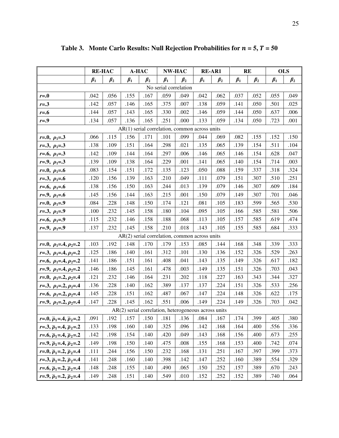|                                                 | <b>RE-HAC</b> |           | A-HAC                                                  |           | NW-HAC    |           | <b>RE-AR1</b> |           | <b>RE</b> |           | <b>OLS</b> |           |
|-------------------------------------------------|---------------|-----------|--------------------------------------------------------|-----------|-----------|-----------|---------------|-----------|-----------|-----------|------------|-----------|
|                                                 | $\beta_1$     | $\beta_2$ | $\beta_1$                                              | $\beta_2$ | $\beta_1$ | $\beta_2$ | $\beta_1$     | $\beta_2$ | $\beta_1$ | $\beta_2$ | $\beta_1$  | $\beta_2$ |
| No serial correlation                           |               |           |                                                        |           |           |           |               |           |           |           |            |           |
| $r = 0$                                         | .042          | .056      | .155                                                   | .167      | .059      | .049      | .042          | .062      | .037      | .052      | .055       | .049      |
| $r = .3$                                        | .142          | .057      | .146                                                   | .165      | .375      | .007      | .138          | .059      | .141      | .050      | .501       | .025      |
| $r = .6$                                        | .144          | .057      | .143                                                   | .165      | .330      | .002      | .146          | .059      | .144      | .050      | .637       | .006      |
| $r = .9$                                        | .134          | .057      | .136                                                   | .165      | .251      | .000      | .133          | .059      | .134      | .050      | .723       | .001      |
| $AR(1)$ serial correlation, common across units |               |           |                                                        |           |           |           |               |           |           |           |            |           |
| $r=0, \rho_1=3$                                 | .066          | .115      | .156                                                   | .171      | .101      | .099      | .044          | .069      | .082      | .155      | .152       | .150      |
| $r=3, p_1=3$                                    | .138          | .109      | .151                                                   | .164      | .298      | .021      | .135          | .065      | .139      | .154      | .511       | .104      |
| $r=0.6, p_1=0.3$                                | .142          | .109      | .144                                                   | .164      | .297      | .006      | .146          | .065      | .146      | .154      | .628       | .047      |
| $r=0, \rho_1=0.3$                               | .139          | .109      | .138                                                   | .164      | .229      | .001      | .141          | .065      | .140      | .154      | .714       | .003      |
| $r=0, \rho_1=0.6$                               | .083          | .154      | .151                                                   | .172      | .135      | .123      | .050          | .088      | .159      | .337      | .318       | .324      |
| $r=3, p_1=6$                                    | .120          | .156      | .139                                                   | .163      | .210      | .049      | .111          | .079      | .151      | .307      | .510       | .251      |
| $r=0.6, p_1=0.6$                                | .138          | .156      | .150                                                   | .163      | .244      | .013      | .139          | .079      | .146      | .307      | .609       | .184      |
| $r=0, \rho_1=0.6$                               | .145          | .156      | .144                                                   | .163      | .215      | .001      | .150          | .079      | .149      | .307      | .701       | .046      |
| $r=0, \rho_1=0$                                 | .084          | .228      | .148                                                   | .150      | .174      | .121      | .081          | .105      | .183      | .599      | .565       | .530      |
| $r=3, p_1=9$                                    | .100          | .232      | .145                                                   | .158      | .180      | .104      | .095          | .105      | .166      | .585      | .581       | .506      |
| $r=0.6, p_1=0.9$                                | .115          | .232      | .146                                                   | .158      | .188      | .068      | .113          | .105      | .157      | .585      | .619       | .474      |
| $r=0, \rho_1=0$                                 | .137          | .232      | .145                                                   | .158      | .210      | .018      | .143          | .105      | .155      | .585      | .684       | .333      |
|                                                 |               |           | $AR(2)$ serial correlation, common across units        |           |           |           |               |           |           |           |            |           |
| $r=0, \rho_1=4, \rho_2=2$                       | .103          | .192      | .148                                                   | .170      | .179      | .153      | .085          | .144      | .168      | .348      | .339       | .333      |
| $r=3, p_1=3, p_2=2$                             | .125          | .186      | .140                                                   | .161      | .312      | .101      | .130          | .136      | .152      | .326      | .529       | .263      |
| $r=0, \rho_1=0.4, \rho_2=0.2$                   | .141          | .186      | .151                                                   | .161      | .408      | .041      | .143          | .135      | .149      | .326      | .617       | .182      |
| $r=0, \rho_1=0.4, \rho_2=0.2$                   | .146          | .186      | .145                                                   | .161      | .478      | .003      | .149          | .135      | .151      | .326      | .703       | .043      |
| $r=0, \rho_1=2, \rho_2=4$                       | .121          | .232      | .146                                                   | .164      | .231      | .202      | .118          | .227      | .163      | .343      | .344       | .327      |
| $r=3, p_1=2, p_2=4$                             | .136          | .228      | .140                                                   | .162      | .389      | .137      | .137          | .224      | .151      | .326      | .533       | .256      |
| $r=0, \rho_1=2, \rho_2=0.4$                     | .145          | .228      | .151                                                   | .162      | .487      | .067      | .147          | .224      | .148      | .326      | .622       | .175      |
| $r=9, p_1=2, p_2=4$                             | .147          | .228      | .145                                                   | .162      | .551      | .006      | .149          | .224      | .149      | .326      | .703       | .042      |
|                                                 |               |           | $AR(2)$ serial correlation, heterogeneous across units |           |           |           |               |           |           |           |            |           |
| $r=0, \bar{p}_1=4, \bar{p}_2=2$                 | .091          | .192      | .157                                                   | .150      | .181      | .136      | .084          | .167      | .174      | .399      | .405       | .380      |
| $r=3, \bar{p}_1=4, \bar{p}_2=2$                 | .133          | .198      | .160                                                   | .140      | .325      | .096      | .142          | .168      | .164      | .400      | .556       | .336      |
| $r=0.6, \bar{p}_1=0.4, \bar{p}_2=0.2$           | .142          | .198      | .154                                                   | .140      | .420      | .049      | .143          | .168      | .156      | .400      | .673       | .255      |
| $r=9, \bar{p}_1=4, \bar{p}_2=2$                 | .149          | .198      | .150                                                   | .140      | .475      | .008      | .155          | .168      | .153      | .400      | .742       | .074      |
| $r=0, \bar{p}_1=2, \bar{p}_2=4$                 | .111          | .244      | .156                                                   | .150      | .232      | .168      | .131          | .251      | .167      | .397      | .399       | .373      |
| $r=3, \bar{p}_1=2, \bar{p}_2=4$                 | .141          | .248      | .160                                                   | .140      | .398      | .142      | .147          | .252      | .160      | .389      | .554       | .329      |
| $r=0.6, \bar{p}_1=0.2, \bar{p}_2=0.4$           | .148          | .248      | .155                                                   | .140      | .490      | .065      | .150          | .252      | .157      | .389      | .670       | .243      |
| $r=0, \bar{p}_1=2, \bar{p}_2=4$                 | .149          | .248      | .151                                                   | .140      | .549      | .010      | .152          | .252      | .152      | .389      | .740       | .064      |

**Table 3.** Monte Carlo Results: Null Rejection Probabilities for  $n = 5$ ,  $T = 50$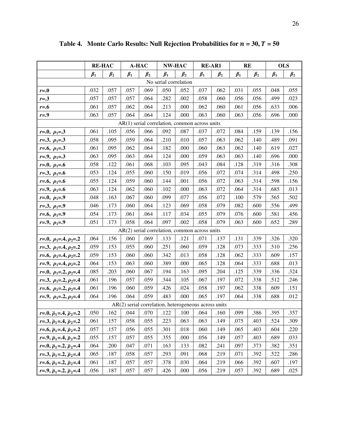|                                               | <b>RE-HAC</b> |           | A-HAC                                                  |           | <b>RE-AR1</b><br><b>NW-HAC</b> |           | <b>RE</b> |           | <b>OLS</b> |           |           |           |
|-----------------------------------------------|---------------|-----------|--------------------------------------------------------|-----------|--------------------------------|-----------|-----------|-----------|------------|-----------|-----------|-----------|
|                                               | $\beta_1$     | $\beta_2$ | $\beta_1$                                              | $\beta_2$ | $\beta_1$                      | $\beta_2$ | $\beta_1$ | $\beta_2$ | $\beta_1$  | $\beta_2$ | $\beta_1$ | $\beta_2$ |
|                                               |               |           |                                                        |           | No serial correlation          |           |           |           |            |           |           |           |
| $r = 0$                                       | .032          | .057      | .057                                                   | .069      | .050                           | .052      | .037      | .062      | .031       | .055      | .048      | .055      |
| $r = .3$                                      | .057          | .057      | .057                                                   | .064      | .282                           | .002      | .058      | .060      | .056       | .056      | .499      | .023      |
| $r=0.6$                                       | .061          | .057      | .062                                                   | .064      | .213                           | .000      | .062      | .060      | .061       | .056      | .633      | .006      |
| $r=0$                                         | .063          | .057      | .064                                                   | .064      | .124                           | .000      | .063      | .060      | .063       | .056      | .696      | .000      |
| AR(1) serial correlation, common across units |               |           |                                                        |           |                                |           |           |           |            |           |           |           |
| $r=0, \rho_1=0.3$                             | .061          | .105      | .056                                                   | .066      | .092                           | .087      | .037      | .072      | .084       | .159      | .139      | .156      |
| $r=.3, p_1=.3$                                | .058          | .095      | .059                                                   | .064      | .210                           | .010      | .057      | .063      | .062       | .140      | .489      | .091      |
| $r=0.6, p_1=0.3$                              | .061          | .095      | .062                                                   | .064      | .182                           | .000      | .060      | .063      | .062       | .140      | .619      | .027      |
| $r=0, \rho_1=0.3$                             | .063          | .095      | .063                                                   | .064      | .124                           | .000      | .059      | .063      | .063       | .140      | .696      | .000      |
| $r=0, \rho_1=0.6$                             | .058          | .122      | .061                                                   | .068      | .103                           | .095      | .043      | .084      | .128       | .319      | .316      | .308      |
| $r=3, p_1=6$                                  | .053          | .124      | .055                                                   | .060      | .150                           | .019      | .056      | .072      | .074       | .314      | .498      | .250      |
| $r=0.6, p_1=0.6$                              | .055          | .124      | .059                                                   | .060      | .144                           | .001      | .056      | .072      | .063       | .314      | .598      | .156      |
| $r=.9, p_1=.6$                                | .063          | .124      | .062                                                   | .060      | .102                           | .000      | .063      | .072      | .064       | .314      | .685      | .013      |
| $r=0, \rho_1=0$                               | .048          | .163      | .067                                                   | .060      | .099                           | .077      | .056      | .072      | .100       | .579      | .565      | .502      |
| $r=.3, p_1=.9$                                | .046          | .173      | .060                                                   | .064      | .123                           | .069      | .058      | .079      | .082       | .600      | .556      | .499      |
| $r=0.6, p_1=0.9$                              | .054          | .173      | .061                                                   | .064      | .117                           | .034      | .055      | .079      | .076       | .600      | .581      | .456      |
| $r=0, \rho_1=0$                               | .051          | .173      | .058                                                   | .064      | .097                           | .002      | .058      | .079      | .063       | .600      | .652      | .289      |
|                                               |               |           | $AR(2)$ serial correlation, common across units        |           |                                |           |           |           |            |           |           |           |
| $r=0, \rho_1=0.4, \rho_2=0.2$                 | .064          | .156      | .060                                                   | .069      | .133                           | .121      | .071      | .137      | .131       | .339      | .326      | .320      |
| $r=3, p_1=3, p_2=2$                           | .059          | .153      | .055                                                   | .060      | .251                           | .060      | .059      | .128      | .073       | .333      | .510      | .256      |
| $r=0, \rho_1=0.4, \rho_2=0.2$                 | .059          | .153      | .060                                                   | .060      | .342                           | .013      | .058      | .128      | .062       | .333      | .609      | .157      |
| $r=0, \rho_1=0.4, \rho_2=0.2$                 | .064          | .153      | .063                                                   | .060      | .389                           | .000      | .065      | .128      | .064       | .333      | .688      | .013      |
| $r=0, \rho_1=2, \rho_2=4$                     | .085          | .203      | .060                                                   | .067      | .194                           | .163      | .095      | .204      | .125       | .339      | .336      | .324      |
| $r=3, \rho_1=2, \rho_2=4$                     | .061          | .196      | .057                                                   | .059      | .344                           | .105      | .067      | .197      | .072       | .338      | .512      | .246      |
| $r=0.6, p_1=2, p_2=0.4$                       | .061          | .196      | .060                                                   | .059      | .426                           | .024      | .058      | .197      | .062       | .338      | .609      | .151      |
| $r=0, \rho_1=2, \rho_2=0.4$                   | .064          | .196      | .064                                                   | .059      | .483                           | .000      | .065      | .197      | .064       | .338      | .688      | .012      |
|                                               |               |           | $AR(2)$ serial correlation, heterogeneous across units |           |                                |           |           |           |            |           |           |           |
| $r=0, \bar{p}_1=4, \bar{p}_2=2$               | .050          | .162      | .044                                                   | .070      | .122                           | .100      | .064      | .160      | .099       | .386      | .395      | .357      |
| $r=3, \bar{p}_1=4, \bar{p}_2=2$               | .061          | .157      | .058                                                   | .055      | .223                           | .063      | .063      | .149      | .075       | .403      | .524      | .309      |
| $r=0, \bar{p}_1=0.4, \bar{p}_2=0.2$           | .057          | .157      | .056                                                   | .055      | .301                           | .018      | .060      | .149      | .065       | .403      | .604      | .220      |
| $r=0, \bar{p}_1=0.4, \bar{p}_2=0.2$           | .055          | .157      | .057                                                   | .055      | .355                           | .000      | .056      | .149      | .057       | .403      | .689      | .033      |
| $r=0, \bar{p}_1=2, \bar{p}_2=4$               | .064          | .200      | .047                                                   | .071      | .163                           | .133      | .082      | .241      | .097       | .373      | .382      | .351      |
| $r=3, \bar{p}_1=2, \bar{p}_2=4$               | .065          | .187      | .058                                                   | .057      | .293                           | .091      | .068      | .219      | .071       | .392      | .522      | .286      |
| $r=0.6$ , $\bar{p}_1=2$ , $\bar{p}_2=0.4$     | .061          | .187      | .057                                                   | .057      | .378                           | .030      | .064      | .219      | .066       | .392      | .607      | .197      |
| $r=0, \bar{p}_1=2, \bar{p}_2=4$               | .056          | .187      | .057                                                   | .057      | .426                           | .000      | .056      | .219      | .057       | .392      | .689      | .025      |

Table 4. Monte Carlo Results: Null Rejection Probabilities for  $n = 30$ ,  $T = 50$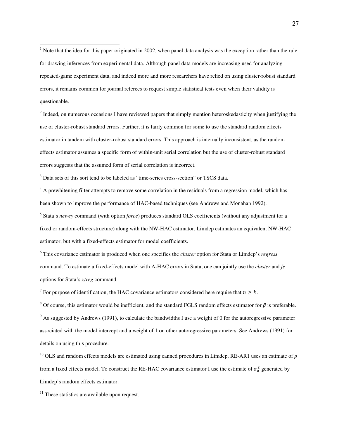<span id="page-27-0"></span> $\overline{a}$  $<sup>1</sup>$  Note that the idea for this paper originated in 2002, when panel data analysis was the exception rather than the rule</sup> for drawing inferences from experimental data. Although panel data models are increasing used for analyzing repeated-game experiment data, and indeed more and more researchers have relied on using cluster-robust standard errors, it remains common for journal referees to request simple statistical tests even when their validity is questionable.

<span id="page-27-1"></span> $2$  Indeed, on numerous occasions I have reviewed papers that simply mention heteroskedasticity when justifying the use of cluster-robust standard errors. Further, it is fairly common for some to use the standard random effects estimator in tandem with cluster-robust standard errors. This approach is internally inconsistent, as the random effects estimator assumes a specific form of within-unit serial correlation but the use of cluster-robust standard errors suggests that the assumed form of serial correlation is incorrect.

<span id="page-27-2"></span><sup>3</sup> Data sets of this sort tend to be labeled as "time-series cross-section" or TSCS data.

<sup>4</sup> A prewhitening filter attempts to remove some correlation in the residuals from a regression model, which has been shown to improve the performance of HAC-based techniques (see Andrews and Monahan 1992).

5 Stata's *newey* command (with option *force*) produces standard OLS coefficients (without any adjustment for a fixed or random-effects structure) along with the NW-HAC estimator. Limdep estimates an equivalent NW-HAC estimator, but with a fixed-effects estimator for model coefficients.

<sup>6</sup> This covariance estimator is produced when one specifies the *cluster* option for Stata or Limdep's *regress* command. To estimate a fixed-effects model with A-HAC errors in Stata, one can jointly use the *cluster* and *fe* options for Stata's *xtreg* command.

<sup>7</sup> For purpose of identification, the HAC covariance estimators considered here require that  $n \geq k$ .

<sup>8</sup> Of course, this estimator would be inefficient, and the standard FGLS random effects estimator for *β* is preferable.  $9$  As suggested by Andrews (1991), to calculate the bandwidths I use a weight of 0 for the autoregressive parameter associated with the model intercept and a weight of 1 on other autoregressive parameters. See Andrews (1991) for details on using this procedure.

<sup>10</sup> OLS and random effects models are estimated using canned procedures in Limdep. RE-AR1 uses an estimate of *ρ* from a fixed effects model. To construct the RE-HAC covariance estimator I use the estimate of  $\sigma_u^2$  generated by Limdep's random effects estimator.

 $11$  These statistics are available upon request.